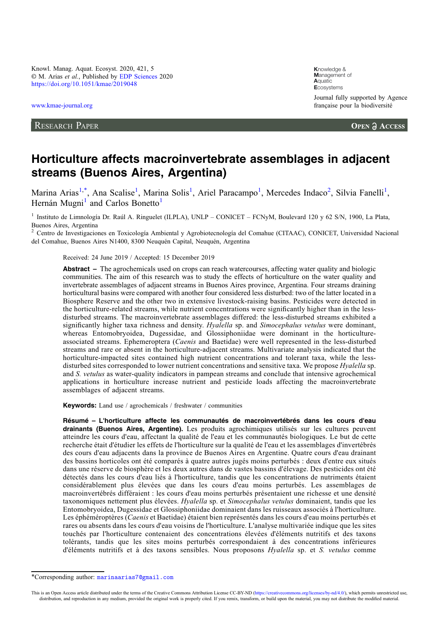Knowl. Manag. Aquat. Ecosyst. 2020, 421, 5 © M. Arias et al., Published by [EDP Sciences](https://www.edpsciences.org) 2020 <https://doi.org/10.1051/kmae/2019048>

[www.kmae-journal.org](https://www.kmae-journal.org)

RESEARCH PAPER

**K**nowledge & **M**anagement of **A**quatic **E**cosystems Journal fully supported by Agence française pour la biodiversité

**OPEN A ACCESS** 

# Horticulture affects macroinvertebrate assemblages in adjacent streams (Buenos Aires, Argentina)

Marina Arias<sup>1,\*</sup>, Ana Scalise<sup>1</sup>, Marina Solis<sup>1</sup>, Ariel Paracampo<sup>1</sup>, Mercedes Indaco<sup>2</sup>, Silvia Fanelli<sup>1</sup>, Hernán Mugni<sup>1</sup> and Carlos Bonetto<sup>1</sup>

<sup>1</sup> Instituto de Limnología Dr. Raul A. Ringuelet (ILPLA), UNLP – CONICET – FCNyM, Boulevard 120 y 62 S/N, 1900, La Plata, Buenos Aires, Argentina

<sup>2</sup> Centro de Investigaciones en Toxicología Ambiental y Agrobiotecnología del Comahue (CITAAC), CONICET, Universidad Nacional del Comahue, Buenos Aires N1400, 8300 Neuquén Capital, Neuquén, Argentina

Received: 24 June 2019 / Accepted: 15 December 2019

Abstract – The agrochemicals used on crops can reach watercourses, affecting water quality and biologic communities. The aim of this research was to study the effects of horticulture on the water quality and invertebrate assemblages of adjacent streams in Buenos Aires province, Argentina. Four streams draining horticultural basins were compared with another four considered less disturbed: two of the latter located in a Biosphere Reserve and the other two in extensive livestock-raising basins. Pesticides were detected in the horticulture-related streams, while nutrient concentrations were significantly higher than in the lessdisturbed streams. The macroinvertebrate assemblages differed: the less-disturbed streams exhibited a significantly higher taxa richness and density. Hyalella sp. and Simocephalus vetulus were dominant, whereas Entomobryoidea, Dugessidae, and Glossiphoniidae were dominant in the horticultureassociated streams. Ephemeroptera (Caenis and Baetidae) were well represented in the less-disturbed streams and rare or absent in the horticulture-adjacent streams. Multivariate analysis indicated that the horticulture-impacted sites contained high nutrient concentrations and tolerant taxa, while the lessdisturbed sites corresponded to lower nutrient concentrations and sensitive taxa. We propose *Hyalella* sp. and S. vetulus as water-quality indicators in pampean streams and conclude that intensive agrochemical applications in horticulture increase nutrient and pesticide loads affecting the macroinvertebrate assemblages of adjacent streams.

Keywords: Land use / agrochemicals / freshwater / communities

Résumé – L'horticulture affecte les communautés de macroinvertébrés dans les cours d'eau drainants (Buenos Aires, Argentine). Les produits agrochimiques utilisés sur les cultures peuvent atteindre les cours d'eau, affectant la qualité de l'eau et les communautés biologiques. Le but de cette recherche était d'étudier les effets de l'horticulture sur la qualité de l'eau et les assemblages d'invertébrés des cours d'eau adjacents dans la province de Buenos Aires en Argentine. Quatre cours d'eau drainant des bassins horticoles ont été comparés à quatre autres jugés moins perturbés : deux d'entre eux situés dans une réserve de biosphère et les deux autres dans de vastes bassins d'élevage. Des pesticides ont été détectés dans les cours d'eau liés à l'horticulture, tandis que les concentrations de nutriments étaient considérablement plus élevées que dans les cours d'eau moins perturbés. Les assemblages de macroinvertébrés différaient : les cours d'eau moins perturbés présentaient une richesse et une densité taxonomiques nettement plus élevées. Hyalella sp. et Simocephalus vetulus dominaient, tandis que les Entomobryoidea, Dugessidae et Glossiphoniidae dominaient dans les ruisseaux associés à l'horticulture. Les éphéméroptères (Caenis et Baetidae) étaient bien représentés dans les cours d'eau moins perturbés et rares ou absents dans les cours d'eau voisins de l'horticulture. L'analyse multivariée indique que les sites touchés par l'horticulture contenaient des concentrations élevées d'éléments nutritifs et des taxons tolérants, tandis que les sites moins perturbés correspondaient à des concentrations inférieures d'éléments nutritifs et à des taxons sensibles. Nous proposons Hyalella sp. et S. vetulus comme

<sup>\*</sup>Corresponding author: [marinaarias7@gmail.com](mailto:marinaarias7@gmail.com)

This is an Open Access article distributed under the terms of the Creative Commons Attribution License CC-BY-ND ([https://creativecommons.org/licenses/by-nd/4.0/\)](https://creativecommons.org/licenses/by-nd/4.0/), which permits unrestricted use, distribution, and reproduction in any medium, provided the original work is properly cited. If you remix, transform, or build upon the material, you may not distribute the modified material.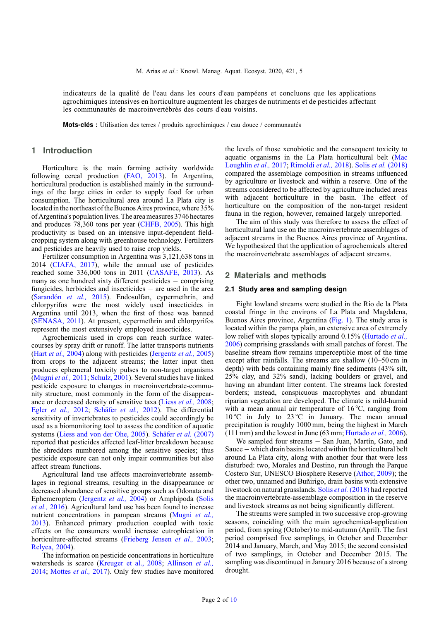indicateurs de la qualité de l'eau dans les cours d'eau pampéens et concluons que les applications agrochimiques intensives en horticulture augmentent les charges de nutriments et de pesticides affectant les communautés de macroinvertébrés des cours d'eau voisins.

Mots-clés : Utilisation des terres / produits agrochimiques / eau douce / communautés

# 1 Introduction

Horticulture is the main farming activity worldwide following cereal production ([FAO, 2013\)](#page-8-0). In Argentina, horticultural production is established mainly in the surroundings of the large cities in order to supply food for urban consumption. The horticultural area around La Plata city is located in the northeast of the Buenos Aires province, where  $35\%$ of Argentina's population lives. The area measures 3746 hectares and produces 78,360 tons per year [\(CHFB, 2005\)](#page-8-0). This high productivity is based on an intensive input-dependent fieldcropping system along with greenhouse technology. Fertilizers and pesticides are heavily used to raise crop yields.

Fertilizer consumption in Argentina was 3,121,638 tons in 2014 [\(CIAFA, 2017\)](#page-8-0), while the annual use of pesticides reached some 336,000 tons in 2011 ([CASAFE, 2013](#page-8-0)). As many as one hundred sixty different pesticides  $-$  comprising fungicides, herbicides and insecticides  $-$  are used in the area ([Sarandón](#page-9-0) et al., 2015). Endosulfan, cypermethrin, and chlorpyrifos were the most widely used insecticides in Argentina until 2013, when the first of those was banned ([SENASA, 2011](#page-9-0)). At present, cypermethrin and chlorpyrifos represent the most extensively employed insecticides.

Agrochemicals used in crops can reach surface watercourses by spray drift or runoff. The latter transports nutrients (Hart *et al.*, 2004) along with pesticides [\(Jergentz](#page-8-0) *et al.*, 2005) from crops to the adjacent streams; the latter input then produces ephemeral toxicity pulses to non-target organisms ([Mugni](#page-9-0) et al., 2011; [Schulz, 2001\)](#page-9-0). Several studies have linked pesticide exposure to changes in macroinvertebrate-community structure, most commonly in the form of the disappearance or decreased density of sensitive taxa (Liess [et al.,](#page-8-0) 2008; Egler [et al.,](#page-8-0) 2012; [Schäfer](#page-9-0) et al., 2012). The differential sensitivity of invertebrates to pesticides could accordingly be used as a biomonitoring tool to assess the condition of aquatic systems [\(Liess and von der Ohe, 2005\)](#page-8-0). [Schäfer](#page-9-0) et al. (2007) reported that pesticides affected leaf-litter breakdown because the shredders numbered among the sensitive species; thus pesticide exposure can not only impair communities but also affect stream functions.

Agricultural land use affects macroinvertebrate assemblages in regional streams, resulting in the disappearance or decreased abundance of sensitive groups such as Odonata and Ephemeroptera ([Jergentz](#page-8-0) et al., 2004) or Amphipoda ([Solis](#page-9-0) [et al.,](#page-9-0) 2016). Agricultural land use has been found to increase nutrient concentrations in pampean streams ([Mugni](#page-9-0) et al., [2013](#page-9-0)). Enhanced primary production coupled with toxic effects on the consumers would increase eutrophication in horticulture-affected streams ([Frieberg Jensen](#page-8-0) et al., 2003; [Relyea, 2004\)](#page-9-0).

The information on pesticide concentrations in horticulture watersheds is scarce ([Kreuger et al., 2008;](#page-8-0) [Allinson](#page-8-0) et al., [2014](#page-8-0); [Mottes](#page-9-0) et al., 2017). Only few studies have monitored the levels of those xenobiotic and the consequent toxicity to aquatic organisms in the La Plata horticultural belt [\(Mac](#page-8-0) [Loughlin](#page-8-0) et al., 2017; [Rimoldi](#page-9-0) et al., 2018). Solis et al. [\(2018\)](#page-9-0) compared the assemblage composition in streams influenced by agriculture or livestock and within a reserve. One of the streams considered to be affected by agriculture included areas with adjacent horticulture in the basin. The effect of horticulture on the composition of the non-target resident fauna in the region, however, remained largely unreported.

The aim of this study was therefore to assess the effect of horticultural land use on the macroinvertebrate assemblages of adjacent streams in the Buenos Aires province of Argentina. We hypothesized that the application of agrochemicals altered the macroinvertebrate assemblages of adjacent streams.

# 2 Materials and methods

#### 2.1 Study area and sampling design

Eight lowland streams were studied in the Rio de la Plata coastal fringe in the environs of La Plata and Magdalena, Buenos Aires province, Argentina ([Fig. 1\)](#page-2-0). The study area is located within the pampa plain, an extensive area of extremely low relief with slopes typically around 0.15% ([Hurtado](#page-8-0) *et al.*, [2006](#page-8-0)) comprising grasslands with small patches of forest. The baseline stream flow remains imperceptible most of the time except after rainfalls. The streams are shallow (10–50 cm in depth) with beds containing mainly fine sediments (43% silt, 25% clay, and 32% sand), lacking boulders or gravel, and having an abundant litter content. The streams lack forested borders; instead, conspicuous macrophytes and abundant riparian vegetation are developed. The climate is mild-humid with a mean annual air temperature of 16 °C, ranging from  $10^{\circ}$ C in July to  $23^{\circ}$ C in January. The mean annual precipitation is roughly 1000 mm, being the highest in March (111 mm) and the lowest in June  $(63 \text{ mm}; \text{Hurtado } et al., 2006)$  $(63 \text{ mm}; \text{Hurtado } et al., 2006)$  $(63 \text{ mm}; \text{Hurtado } et al., 2006)$ .

We sampled four streams  $-$  San Juan, Martín, Gato, and  $S$ auce  $-$  which drain basins located within the horticultural belt around La Plata city, along with another four that were less disturbed: two, Morales and Destino, run through the Parque Costero Sur, UNESCO Biosphere Reserve [\(Athor, 2009\)](#page-8-0); the other two, unnamed and Buñirigo, drain basins with extensive livestock on natural grasslands. Solis et al. [\(2018\)](#page-9-0) had reported the macroinvertebrate-assemblage composition in the reserve and livestock streams as not being significantly different.

The streams were sampled in two successive crop-growing seasons, coinciding with the main agrochemical-application period, from spring (October) to mid-autumn (April). The first period comprised five samplings, in October and December 2014 and January, March, and May 2015; the second consisted of two samplings, in October and December 2015. The sampling was discontinued in January 2016 because of a strong drought.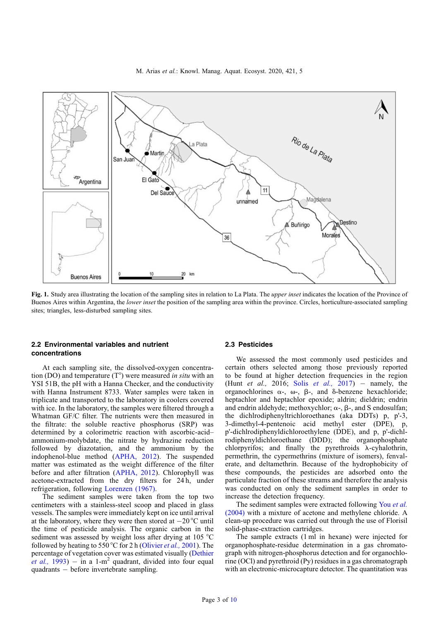M. Arias et al.: Knowl. Manag. Aquat. Ecosyst. 2020, 421, 5

<span id="page-2-0"></span>

Fig. 1. Study area illustrating the location of the sampling sites in relation to La Plata. The *upper inset* indicates the location of the Province of Buenos Aires within Argentina, the lower inset the position of the sampling area within the province. Circles, horticulture-associated sampling sites; triangles, less-disturbed sampling sites.

# 2.2 Environmental variables and nutrient concentrations

At each sampling site, the dissolved-oxygen concentration (DO) and temperature  $(T^{\circ})$  were measured *in situ* with an YSI 51B, the pH with a Hanna Checker, and the conductivity with Hanna Instrument 8733. Water samples were taken in triplicate and transported to the laboratory in coolers covered with ice. In the laboratory, the samples were filtered through a Whatman GF/C filter. The nutrients were then measured in the filtrate: the soluble reactive phosphorus (SRP) was determined by a colorimetric reaction with ascorbic-acid– ammonium-molybdate, the nitrate by hydrazine reduction followed by diazotation, and the ammonium by the indophenol-blue method ([APHA, 2012\)](#page-8-0). The suspended matter was estimated as the weight difference of the filter before and after filtration ([APHA, 2012](#page-8-0)). Chlorophyll was acetone-extracted from the dry filters for 24 h, under refrigeration, following [Lorenzen \(1967\)](#page-8-0).

The sediment samples were taken from the top two centimeters with a stainless-steel scoop and placed in glass vessels. The samples were immediately kept on ice until arrival at the laboratory, where they were then stored at  $-20^{\circ}$ C until the time of pesticide analysis. The organic carbon in the sediment was assessed by weight loss after drying at 105 °C followed by heating to 550 °C for 2 h ([Olivier](#page-9-0) *et al.*, 2001). The percentage of vegetation cover was estimated visually ([Dethier](#page-8-0) [et al.,](#page-8-0) 1993)  $-$  in a 1-m<sup>2</sup> quadrant, divided into four equal quadrants – before invertebrate sampling.

#### 2.3 Pesticides

We assessed the most commonly used pesticides and certain others selected among those previously reported to be found at higher detection frequencies in the region (Hunt [et al.,](#page-9-0) 2016; Solis et al., 2017) - namely, the organochlorines  $\alpha$ -,  $\omega$ -,  $\beta$ -, and  $\delta$ -benzene hexachloride; heptachlor and heptachlor epoxide; aldrin; dieldrin; endrin and endrin aldehyde; methoxychlor;  $\alpha$ -,  $\beta$ -, and S endosulfan; the dichlrodiphenyltrichloroethanes (aka DDTs) p, p'-3, 3-dimethyl-4-pentenoic acid methyl ester (DPE), p, p'-dichlrodiphenyldichloroethylene (DDE), and p, p'-dichlrodiphenyldichloroethane (DDD); the organophosphate chlorpyrifos; and finally the pyrethroids  $\lambda$ -cyhalothrin, permethrin, the cypermethrins (mixture of isomers), fenvalerate, and deltamethrin. Because of the hydrophobicity of these compounds, the pesticides are adsorbed onto the particulate fraction of these streams and therefore the analysis was conducted on only the sediment samples in order to increase the detection frequency.

The sediment samples were extracted following You [et al.](#page-9-0) [\(2004\)](#page-9-0) with a mixture of acetone and methylene chloride. A clean-up procedure was carried out through the use of Florisil solid-phase-extraction cartridges.

The sample extracts (1 ml in hexane) were injected for organophosphate-residue determination in a gas chromatograph with nitrogen-phosphorus detection and for organochlorine (OCl) and pyrethroid (Py) residues in a gas chromatograph with an electronic-microcapture detector. The quantitation was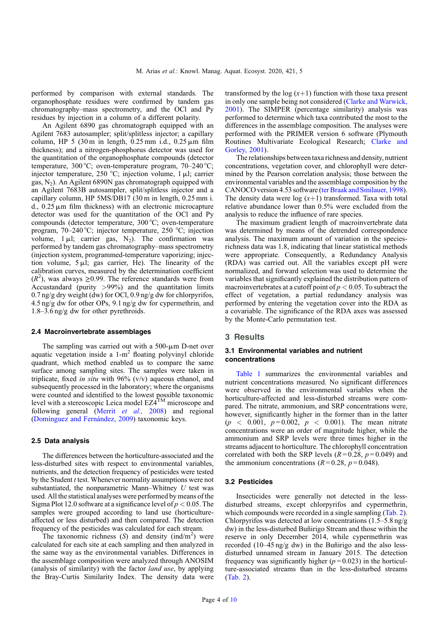performed by comparison with external standards. The organophosphate residues were confirmed by tandem gas chromatography–mass spectrometry, and the OCl and Py residues by injection in a column of a different polarity.

An Agilent 6890 gas chromatograph equipped with an Agilent 7683 autosampler; split/splitless injector; a capillary column, HP  $5$  (30 m in length, 0.25 mm i.d., 0.25  $\mu$ m film thickness); and a nitrogen-phosphorus detector was used for the quantitation of the organophosphate compounds (detector temperature, 300 °C; oven-temperature program, 70–240 °C; injector temperature, 250 °C; injection volume, 1  $\mu$ l; carrier gas,  $N_2$ ). An Agilent 6890N gas chromatograph equipped with an Agilent 7683B autosampler, split/splitless injector and a capillary column, HP 5MS/DB17 (30 m in length, 0.25 mm i. d.,  $0.25 \mu m$  film thickness) with an electronic microcapture detector was used for the quantitation of the OCl and Py compounds (detector temperature, 300 °C; oven-temperature program, 70–240 °C; injector temperature, 250 °C; injection volume,  $1 \mu l$ ; carrier gas,  $N_2$ ). The confirmation was performed by tandem gas chromatography–mass spectrometry (injection system, programmed-temperature vaporizing; injection volume,  $5 \mu l$ ; gas carrier, He). The linearity of the calibration curves, measured by the determination coefficient  $(R<sup>2</sup>)$ , was always  $\geq 0.99$ . The reference standards were from Accustandard (purity  $>99\%$ ) and the quantitation limits  $0.7$  ng/g dry weight (dw) for OCl,  $0.9$  ng/g dw for chlorpyrifos, 4.5 ng/g dw for other OPs, 9.1 ng/g dw for cypermethrin, and 1.8–3.6 ng/g dw for other pyrethroids.

#### 2.4 Macroinvertebrate assemblages

The sampling was carried out with a  $500$ - $\mu$ m D-net over aquatic vegetation inside a  $1-m^2$  floating polyvinyl chloride quadrant, which method enabled us to compare the same surface among sampling sites. The samples were taken in triplicate, fixed in situ with 96% (v/v) aqueous ethanol, and subsequently processed in the laboratory; where the organisms were counted and identified to the lowest possible taxonomic level with a stereoscopic Leica model EZ4TM microscope and following general (Merrit *et al.*, 2008) and regional ([Domínguez and Fernández, 2009\)](#page-8-0) taxonomic keys.

#### 2.5 Data analysis

The differences between the horticulture-associated and the less-disturbed sites with respect to environmental variables, nutrients, and the detection frequency of pesticides were tested by the Student *t* test. Whenever normality assumptions were not substantiated, the nonparametric Mann–Whitney  $U$  test was used. All the statistical analyses were performed by means of the Sigma Plot 12.0 software at a significance level of  $p < 0.05$ . The samples were grouped according to land use (horticultureaffected or less disturbed) and then compared. The detection frequency of the pesticides was calculated for each stream.

The taxonomic richness  $(S)$  and density  $(\text{ind/m}^2)$  were calculated for each site at each sampling and then analyzed in the same way as the environmental variables. Differences in the assemblage composition were analyzed through ANOSIM (analysis of similarity) with the factor land use, by applying the Bray-Curtis Similarity Index. The density data were

transformed by the log  $(x+1)$  function with those taxa present in only one sample being not considered [\(Clarke and Warwick,](#page-8-0) [2001](#page-8-0)). The SIMPER (percentage similarity) analysis was performed to determine which taxa contributed the most to the differences in the assemblage composition. The analyses were performed with the PRIMER version 6 software (Plymouth Routines Multivariate Ecological Research; [Clarke and](#page-8-0) [Gorley, 2001](#page-8-0)).

The relationships between taxa richness and density, nutrient concentrations, vegetation cover, and chlorophyll were determined by the Pearson correlation analysis; those between the environmental variables and the assemblage composition by the CANOCO version 4.53 software [\(ter Braak and Smilauer, 1998](#page-9-0)). The density data were log  $(x+1)$  transformed. Taxa with total relative abundance lower than 0.5% were excluded from the analysis to reduce the influence of rare species.

The maximum gradient length of macroinvertebrate data was determined by means of the detrended correspondence analysis. The maximum amount of variation in the speciesrichness data was 1.8, indicating that linear statistical methods were appropriate. Consequently, a Redundancy Analysis (RDA) was carried out. All the variables except pH were normalized, and forward selection was used to determine the variables that significantly explained the distribution pattern of macroinvertebrates at a cutoff point of  $p < 0.05$ . To subtract the effect of vegetation, a partial redundancy analysis was performed by entering the vegetation cover into the RDA as a covariable. The significance of the RDA axes was assessed by the Monte-Carlo permutation test.

# 3 Results

#### 3.1 Environmental variables and nutrient concentrations

[Table 1](#page-4-0) summarizes the environmental variables and nutrient concentrations measured. No significant differences were observed in the environmental variables when the horticulture-affected and less-disturbed streams were compared. The nitrate, ammonium, and SRP concentrations were, however, significantly higher in the former than in the latter  $(p < 0.001, p = 0.002, p < 0.001)$ . The mean nitrate concentrations were an order of magnitude higher, while the ammonium and SRP levels were three times higher in the streams adjacent to horticulture. The chlorophyll concentration correlated with both the SRP levels ( $R = 0.28$ ,  $p = 0.049$ ) and the ammonium concentrations ( $R = 0.28$ ,  $p = 0.048$ ).

#### 3.2 Pesticides

Insecticides were generally not detected in the lessdisturbed streams, except chlorpyrifos and cypermethrin, which compounds were recorded in a single sampling ([Tab. 2\)](#page-4-0). Chlorpyrifos was detected at low concentrations  $(1.5-5.8 \text{ ng/g})$ dw) in the less-disturbed Buñirigo Stream and those within the reserve in only December 2014, while cypermethrin was recorded (10–45 ng/g dw) in the Buñirigo and the also lessdisturbed unnamed stream in January 2015. The detection frequency was significantly higher ( $p = 0.023$ ) in the horticulture-associated streams than in the less-disturbed streams ([Tab. 2](#page-4-0)).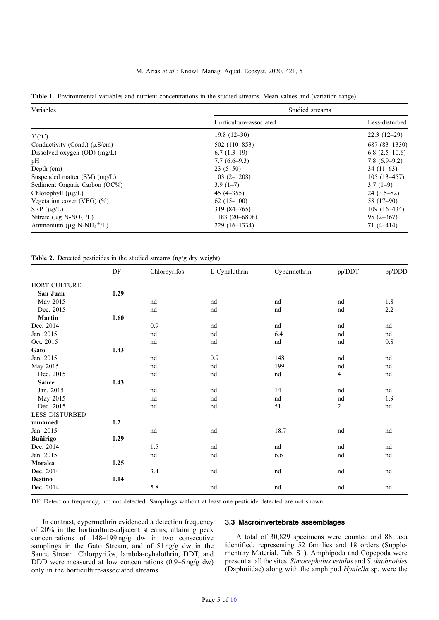## M. Arias et al.: Knowl. Manag. Aquat. Ecosyst. 2020, 421, 5

<span id="page-4-0"></span>

|  |  |  |  |  |  |  |  |  |  |  | Table 1. Environmental variables and nutrient concentrations in the studied streams. Mean values and (variation range). |  |
|--|--|--|--|--|--|--|--|--|--|--|-------------------------------------------------------------------------------------------------------------------------|--|
|--|--|--|--|--|--|--|--|--|--|--|-------------------------------------------------------------------------------------------------------------------------|--|

| Variables                                             | Studied streams         |                 |  |  |  |
|-------------------------------------------------------|-------------------------|-----------------|--|--|--|
|                                                       | Horticulture-associated | Less-disturbed  |  |  |  |
| $T$ (°C)                                              | $19.8(12-30)$           | $22.3(12-29)$   |  |  |  |
| Conductivity (Cond.) $(\mu S/cm)$                     | $502(110-853)$          | $687(83-1330)$  |  |  |  |
| Dissolved oxygen $(OD)$ $(mg/L)$                      | $6.7(1.3-19)$           | $6.8(2.5-10.6)$ |  |  |  |
| pH                                                    | $7.7(6.6-9.3)$          | $7.8(6.9-9.2)$  |  |  |  |
| Depth (cm)                                            | $23(5-50)$              | $34(11-63)$     |  |  |  |
| Suspended matter (SM) (mg/L)                          | $103(2 - 1208)$         | $105(13-457)$   |  |  |  |
| Sediment Organic Carbon (OC%)                         | $3.9(1-7)$              | $3.7(1-9)$      |  |  |  |
| Chlorophyll $(\mu g/L)$                               | $45(4 - 355)$           | $24(3.5-82)$    |  |  |  |
| Vegetation cover (VEG) $(\% )$                        | $62(15-100)$            | 58 $(17-90)$    |  |  |  |
| $SRP(\mu g/L)$                                        | 319 (84–765)            | $109(16-434)$   |  |  |  |
| Nitrate ( $\mu$ g N-NO <sub>3</sub> <sup>-</sup> /L)  | 1183 (20 - 6808)        | $95(2-367)$     |  |  |  |
| Ammonium ( $\mu$ g N-NH <sub>4</sub> <sup>+</sup> /L) | $229(16-1334)$          | $71(4 - 414)$   |  |  |  |

Table 2. Detected pesticides in the studied streams (ng/g dry weight).

|                       | DF   | Chlorpyrifos | L-Cyhalothrin | Cypermethrin | pp'DDT | pp'DDD  |
|-----------------------|------|--------------|---------------|--------------|--------|---------|
| <b>HORTICULTURE</b>   |      |              |               |              |        |         |
| San Juan              | 0.29 |              |               |              |        |         |
| May 2015              |      | nd           | nd            | nd           | nd     | 1.8     |
| Dec. 2015             |      | nd           | nd            | nd           | nd     | 2.2     |
| <b>Martin</b>         | 0.60 |              |               |              |        |         |
| Dec. 2014             |      | 0.9          | nd            | nd           | nd     | nd      |
| Jan. 2015             |      | nd           | nd            | 6.4          | nd     | nd      |
| Oct. 2015             |      | nd           | nd            | nd           | nd     | $0.8\,$ |
| Gato                  | 0.43 |              |               |              |        |         |
| Jan. 2015             |      | nd           | 0.9           | 148          | nd     | nd      |
| May 2015              |      | nd           | nd            | 199          | nd     | nd      |
| Dec. 2015             |      | nd           | nd            | nd           | 4      | nd      |
| Sauce                 | 0.43 |              |               |              |        |         |
| Jan. 2015             |      | nd           | nd            | 14           | nd     | nd      |
| May 2015              |      | nd           | nd            | nd           | nd     | 1.9     |
| Dec. 2015             |      | nd           | nd            | 51           | 2      | nd      |
| <b>LESS DISTURBED</b> |      |              |               |              |        |         |
| unnamed               | 0.2  |              |               |              |        |         |
| Jan. 2015             |      | nd           | nd            | 18.7         | nd     | nd      |
| <b>Buñirigo</b>       | 0.29 |              |               |              |        |         |
| Dec. 2014             |      | 1.5          | nd            | nd           | nd     | nd      |
| Jan. 2015             |      | nd           | nd            | 6.6          | nd     | nd      |
| <b>Morales</b>        | 0.25 |              |               |              |        |         |
| Dec. 2014             |      | 3.4          | nd            | nd           | nd     | nd      |
| <b>Destino</b>        | 0.14 |              |               |              |        |         |
| Dec. 2014             |      | 5.8          | nd            | nd           | nd     | nd      |

DF: Detection frequency; nd: not detected. Samplings without at least one pesticide detected are not shown.

In contrast, cypermethrin evidenced a detection frequency of 20% in the horticulture-adjacent streams, attaining peak concentrations of 148–199 ng/g dw in two consecutive samplings in the Gato Stream, and of 51 ng/g dw in the Sauce Stream. Chlorpyrifos, lambda-cyhalothrin, DDT, and DDD were measured at low concentrations (0.9–6 ng/g dw) only in the horticulture-associated streams.

# 3.3 Macroinvertebrate assemblages

A total of 30,829 specimens were counted and 88 taxa identified, representing 52 families and 18 orders (Supplementary Material, Tab. S1). Amphipoda and Copepoda were present at all the sites. Simocephalus vetulus and S. daphnoides (Daphniidae) along with the amphipod Hyalella sp. were the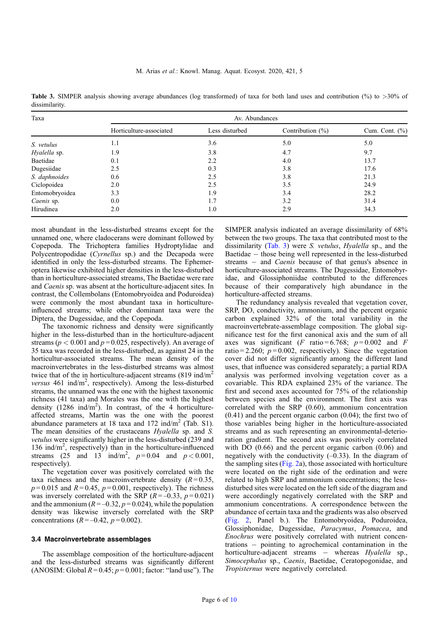Table 3. SIMPER analysis showing average abundances (log transformed) of taxa for both land uses and contribution (%) to >30% of dissimilarity.

| Taxa           | Av. Abundances          |                |                      |                   |  |  |  |
|----------------|-------------------------|----------------|----------------------|-------------------|--|--|--|
|                | Horticulture-associated | Less disturbed | Contribution $(\% )$ | Cum. Cont. $(\%)$ |  |  |  |
| S. vetulus     | 1.1                     | 3.6            | 5.0                  | 5.0               |  |  |  |
| Hyalella sp.   | 1.9                     | 3.8            | 4.7                  | 9.7               |  |  |  |
| Baetidae       | 0.1                     | 2.2            | 4.0                  | 13.7              |  |  |  |
| Dugesiidae     | 2.5                     | 0.3            | 3.8                  | 17.6              |  |  |  |
| S. daphnoides  | 0.6                     | 2.5            | 3.8                  | 21.3              |  |  |  |
| Ciclopoidea    | 2.0                     | 2.5            | 3.5                  | 24.9              |  |  |  |
| Entomobryoidea | 3.3                     | 1.9            | 3.4                  | 28.2              |  |  |  |
| Caenis sp.     | 0.0                     | 1.7            | 3.2                  | 31.4              |  |  |  |
| Hirudinea      | 2.0                     | 1.0            | 2.9                  | 34.3              |  |  |  |

most abundant in the less-disturbed streams except for the unnamed one, where cladocerans were dominant followed by Copepoda. The Trichoptera families Hydroptylidae and Polycentropodidae (Cyrnellus sp.) and the Decapoda were identified in only the less-disturbed streams. The Ephemeroptera likewise exhibited higher densities in the less-disturbed than in horticulture-associated streams, The Baetidae were rare and Caenis sp. was absent at the horticulture-adjacent sites. In contrast, the Collembolans (Entomobryoidea and Poduroidea) were commonly the most abundant taxa in horticultureinfluenced streams; while other dominant taxa were the Diptera, the Dugessidae, and the Copepoda.

The taxonomic richness and density were significantly higher in the less-disturbed than in the horticulture-adjacent streams ( $p < 0.001$  and  $p = 0.025$ , respectively). An average of 35 taxa was recorded in the less-disturbed, as against 24 in the horticultur-associated streams. The mean density of the macroinvertebrates in the less-disturbed streams was almost twice that of the in horticulture-adjacent streams  $(819 \text{ ind/m}^2)$ versus  $461$  ind/m<sup>2</sup>, respectively). Among the less-disturbed streams, the unnamed was the one with the highest taxonomic richness (41 taxa) and Morales was the one with the highest density  $(1286 \text{ ind/m}^2)$ . In contrast, of the 4 horticultureaffected streams, Martín was the one with the poorest abundance parameters at 18 taxa and 172 ind/m<sup>2</sup> (Tab. S1). The mean densities of the crustaceans *Hyalella* sp. and *S*. vetulus were significantly higher in the less-disturbed (239 and 136 ind/m<sup>2</sup>, respectively) than in the horticulture-influenced streams (25 and 13 ind/m<sup>2</sup>,  $p=0.04$  and  $p < 0.001$ , respectively).

The vegetation cover was positively correlated with the taxa richness and the macroinvertebrate density  $(R=0.35,$  $p=0.015$  and  $R=0.45$ ,  $p=0.001$ , respectively). The richness was inversely correlated with the SRP ( $R = -0.33$ ,  $p = 0.021$ ) and the ammonium ( $R = -0.32$ ,  $p = 0.024$ ), while the population density was likewise inversely correlated with the SRP concentrations  $(R = -0.42, p = 0.002)$ .

#### 3.4 Macroinvertebrate assemblages

The assemblage composition of the horticulture-adjacent and the less-disturbed streams was significantly different (ANOSIM: Global  $R = 0.45$ ;  $p = 0.001$ ; factor: "land use"). The SIMPER analysis indicated an average dissimilarity of 68% between the two groups. The taxa that contributed most to the dissimilarity (Tab. 3) were *S. vetulus, Hyalella* sp., and the Baetidae  $-$  those being well represented in the less-disturbed streams  $-$  and *Caenis* because of that genus's absence in horticulture-associated streams. The Dugessidae, Entomobyridae, and Glossiphoniidae contributed to the differences because of their comparatively high abundance in the horticulture-affected streams.

The redundancy analysis revealed that vegetation cover, SRP, DO, conductivity, ammonium, and the percent organic carbon explained 32% of the total variability in the macroinvertebrate-assemblage composition. The global significance test for the first canonical axis and the sum of all axes was significant (F ratio = 6.768;  $p = 0.002$  and F ratio = 2.260;  $p = 0.002$ , respectively). Since the vegetation cover did not differ significantly among the different land uses, that influence was considered separately; a partial RDA analysis was performed involving vegetation cover as a covariable. This RDA explained 23% of the variance. The first and second axes accounted for 75% of the relationship between species and the environment. The first axis was correlated with the SRP (0.60), ammonium concentration (0.41) and the percent organic carbon (0.04); the first two of those variables being higher in the horticulture-associated streams and as such representing an environmental-deterioration gradient. The second axis was positively correlated with DO  $(0.66)$  and the percent organic carbon  $(0.06)$  and negatively with the conductivity  $(-0.33)$ . In the diagram of the sampling sites ([Fig. 2a](#page-6-0)), those associated with horticulture were located on the right side of the ordination and were related to high SRP and ammonium concentrations; the lessdisturbed sites were located on the left side of the diagram and were accordingly negatively correlated with the SRP and ammonium concentrations. A correspondence between the abundance of certain taxa and the gradients was also observed ([Fig. 2](#page-6-0), Panel b.). The Entomobryoidea, Poduroidea, Glossiphonidae, Dugessidae, Paracymus, Pomacea, and Enochrus were positively correlated with nutrient concentrations  $-$  pointing to agrochemical contamination in the horticulture-adjacent streams - whereas Hyalella sp., Simocephalus sp., Caenis, Baetidae, Ceratopogonidae, and Tropisternus were negatively correlated.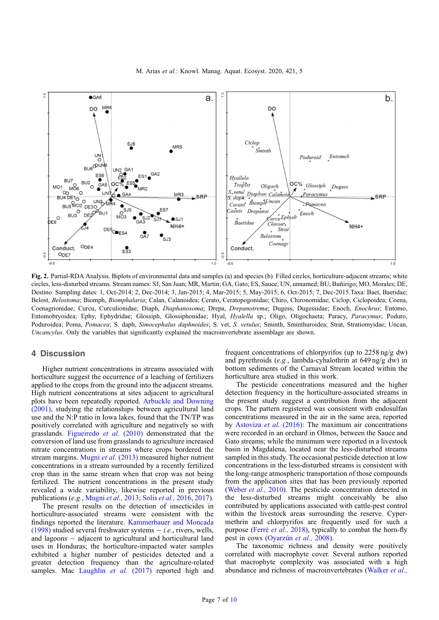<span id="page-6-0"></span>

Fig. 2. Partial-RDA Analysis. Biplots of environmental data and samples (a) and species (b). Filled circles, horticulture-adjacent streams; white circles, less-disturbed streams. Stream names: SJ, San Juan; MR, Martin; GA, Gato; ES, Sauce; UN, unnamed; BU, Buñirigo; MO, Morales; DE, Destino. Sampling dates: 1, Oct-2014; 2, Dec-2014; 3, Jan-2015; 4, Mar-2015; 5, May-2015; 6, Oct-2015; 7, Dec-2015.Taxa: Baet, Baetidae; Belost, Belostoma; Biomph, Biomphalaria; Calan, Calanoidea; Cerato, Ceratopogonidae; Chiro, Chironomidae; Ciclop, Ciclopoidea; Coena, Coenagrionidae; Curcu, Curculionidae; Diaph, Diaphanosoma; Drepa, Drepanotrema; Dugess, Dugessidae; Enoch, Enochrus; Entomo, Entomobryoidea; Ephy, Ephydridae; Glossiph, Glossiphonidae; Hyal, Hyalella sp.; Oligo, Oligochaeta; Paracy, Paracymus; Poduro, Poduroidea; Poma, Pomacea; S. daph, Simocephalus daphnoides; S. vet, S. vetulus; Sminth, Sminthuroidea; Strat, Stratiomyidae; Uncan, Uncancylus. Only the variables that significantly explained the macroinvertebrate assemblage are shown.

# 4 Discussion

Higher nutrient concentrations in streams associated with horticulture suggest the occurrence of a leaching of fertilizers applied to the crops from the ground into the adjacent streams. High nutrient concentrations at sites adjacent to agricultural plots have been repeatedly reported. [Arbuckle and Downing](#page-8-0) [\(2001\)](#page-8-0), studying the relationships between agricultural land use and the N:P ratio in Iowa lakes, found that the TN/TP was positively correlated with agriculture and negatively so with grasslands. [Figueiredo](#page-8-0) et al. (2010) demonstrated that the conversion of land use from grasslands to agriculture increased nitrate concentrations in streams where crops bordered the stream margins. [Mugni](#page-9-0) et al. (2013) measured higher nutrient concentrations in a stream surrounded by a recently fertilized crop than in the same stream when that crop was not being fertilized. The nutrient concentrations in the present study revealed a wide variability, likewise reported in previous publications (e.g., [Mugni](#page-9-0) et al., 2013; Solis [et al.,](#page-9-0) 2016, [2017](#page-9-0)).

The present results on the detection of insecticides in horticulture-associated streams were consistent with the findings reported the literature. [Kammerbauer and Moncada](#page-8-0) [\(1998\)](#page-8-0) studied several freshwater systems  $-i.e.,$  rivers, wells, and lagoons  $-$  adjacent to agricultural and horticultural land uses in Honduras; the horticulture-impacted water samples exhibited a higher number of pesticides detected and a greater detection frequency than the agriculture-related samples. Mac Laughlin et al. (2017) reported high and

frequent concentrations of chlorpyrifos (up to 2258 ng/g dw) and pyrethroids (e.g., lambda-cyhalothrin at 649 ng/g dw) in bottom sediments of the Carnaval Stream located within the horticulture area studied in this work.

The pesticide concentrations measured and the higher detection frequency in the horticulture-associated streams in the present study suggest a contribution from the adjacent crops. The pattern registered was consistent with endosulfan concentrations measured in the air in the same area, reported by [Astoviza](#page-8-0) et al. (2016): The maximum air concentrations were recorded in an orchard in Olmos, between the Sauce and Gato streams; while the minimum were reported in a livestock basin in Magdalena, located near the less-disturbed streams sampled in this study. The occasional pesticide detection at low concentrations in the less-disturbed streams is consistent with the long-range atmospheric transportation of those compounds from the application sites that has been previously reported ([Weber](#page-9-0) et al., 2010). The pesticide concentration detected in the less-disturbed streams might conceivably be also contributed by applications associated with cattle-pest control within the livestock areas surrounding the reserve. Cypermethrin and chlorpyrifos are frequently used for such a purpose (Ferré [et al.,](#page-8-0) 2018), typically to combat the horn-fly pest in cows ([Oyarz](#page-9-0)un et al., 2008).

The taxonomic richness and density were positively correlated with macrophyte cover. Several authors reported that macrophyte complexity was associated with a high abundance and richness of macroinvertebrates [\(Walker](#page-9-0) *et al.*,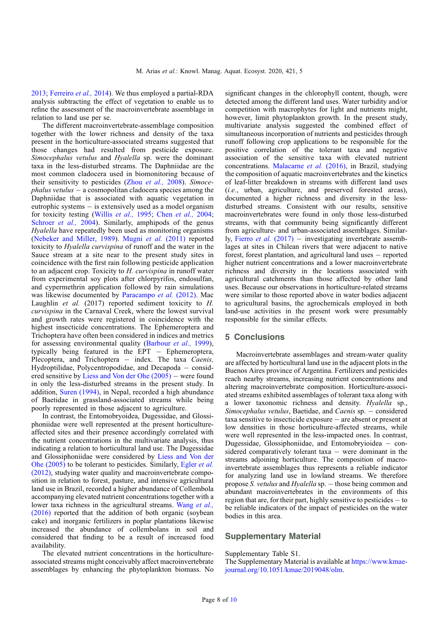[2013](#page-9-0); [Ferreiro](#page-8-0) et al., 2014). We thus employed a partial-RDA analysis subtracting the effect of vegetation to enable us to refine the assessment of the macroinvertebrate assemblage in relation to land use per se.

The different macroinvertebrate-assemblage composition together with the lower richness and density of the taxa present in the horticulture-associated streams suggested that those changes had resulted from pesticide exposure. Simocephalus vetulus and Hyalella sp. were the dominant taxa in the less-disturbed streams. The Daphniidae are the most common cladocera used in biomonitoring because of their sensitivity to pesticides (Zhou [et al.,](#page-9-0) 2008). Simoce $phalus$  vetulus  $-$  a cosmopolitan cladocera species among the Daphniidae that is associated with aquatic vegetation in eutrophic systems  $-$  is extensively used as a model organism for toxicity testing [\(Willis](#page-9-0) et al., 1995; Chen [et al.,](#page-8-0) 2004; [Schroer](#page-9-0) *et al.*, 2004). Similarly, amphipods of the genus Hyalella have repeatedly been used as monitoring organisms ([Nebeker and Miller, 1989](#page-9-0)). Mugni et al. [\(2011\)](#page-9-0) reported toxicity to Hyalella curvispina of runoff and the water in the Sauce stream at a site near to the present study sites in coincidence with the first rain following pesticide application to an adjacent crop. Toxicity to H. curvispina in runoff water from experimental soy plots after chlorpyrifos, endosulfan, and cypermethrin application followed by rain simulations was likewise documented by [Paracampo](#page-9-0) *et al.* (2012). Mac Laughlin et al. (2017) reported sediment toxicity to H. curvispina in the Carnaval Creek, where the lowest survival and growth rates were registered in coincidence with the highest insecticide concentrations. The Ephemeroptera and Trichoptera have often been considered in indices and metrics for assessing environmental quality [\(Barbour](#page-8-0) et al., 1999), typically being featured in the EPT - Ephemeroptera, Plecoptera, and Trichoptera - index. The taxa Caenis, Hydroptilidae, Polycentropodidae, and Decapoda  $-$  considered sensitive by Liess and Von der Ohe  $(2005)$  – were found in only the less-disturbed streams in the present study. In addition, [Suren \(1994\)](#page-9-0), in Nepal, recorded a high abundance of Baetidae in grassland-associated streams while being poorly represented in those adjacent to agriculture.

In contrast, the Entomobryoidea, Dugessidae, and Glossiphoniidae were well represented at the present horticultureaffected sites and their presence accordingly correlated with the nutrient concentrations in the multivariate analysis, thus indicating a relation to horticultural land use. The Dugessidae and Glossiphoniidae were considered by [Liess and Von der](#page-8-0) [Ohe \(2005\)](#page-8-0) to be tolerant to pesticides. Similarly, [Egler](#page-8-0) et al. [\(2012\)](#page-8-0), studying water quality and macroinvertebrate composition in relation to forest, pasture, and intensive agricultural land use in Brazil, recorded a higher abundance of Collembola accompanying elevated nutrient concentrations together with a lower taxa richness in the agricultural streams. Wang [et al.,](#page-9-0) [\(2016\)](#page-9-0) reported that the addition of both organic (soybean cake) and inorganic fertilizers in poplar plantations likewise increased the abundance of collembolans in soil and considered that finding to be a result of increased food availability.

The elevated nutrient concentrations in the horticultureassociated streams might conceivably affect macroinvertebrate assemblages by enhancing the phytoplankton biomass. No significant changes in the chlorophyll content, though, were detected among the different land uses. Water turbidity and/or competition with macrophytes for light and nutrients might, however, limit phytoplankton growth. In the present study, multivariate analysis suggested the combined effect of simultaneous incorporation of nutrients and pesticides through runoff following crop applications to be responsible for the positive correlation of the tolerant taxa and negative association of the sensitive taxa with elevated nutrient concentrations. [Malacarne](#page-8-0) et al. (2016), in Brazil, studying the composition of aquatic macroinvertebrates and the kinetics of leaf-litter breakdown in streams with different land uses (i.e., urban, agriculture, and preserved forested areas), documented a higher richness and diversity in the lessdisturbed streams. Consistent with our results, sensitive macroinvertebrates were found in only those less-disturbed streams, with that community being significantly different from agriculture- and urban-associated assemblages. Similarly, Fierro *et al.* [\(2017\)](#page-8-0)  $-$  investigating invertebrate assemblages at sites in Chilean rivers that were adjacent to native forest, forest plantation, and agricultural land uses  $-$  reported higher nutrient concentrations and a lower macroinvertebrate richness and diversity in the locations associated with agricultural catchments than those affected by other land uses. Because our observations in horticulture-related streams were similar to those reported above in water bodies adjacent to agricultural basins, the agrochemicals employed in both land-use activities in the present work were presumably responsible for the similar effects.

# 5 Conclusions

Macroinvertebrate assemblages and stream-water quality are affected by horticultural land use in the adjacent plots in the Buenos Aires province of Argentina. Fertilizers and pesticides reach nearby streams, increasing nutrient concentrations and altering macroinvertebrate composition. Horticulture-associated streams exhibited assemblages of tolerant taxa along with a lower taxonomic richness and density. Hyalella sp., Simocephalus vetulus, Baetidae, and Caenis sp. - considered  $taxa$  sensitive to insecticide exposure  $-$  are absent or present at low densities in those horticulture-affected streams, while were well represented in the less-impacted ones. In contrast, Dugessidae, Glossiphoniidae, and Entomobryioidea  $-$  considered comparatively tolerant taxa  $-$  were dominant in the streams adjoining horticulture. The composition of macroinvertebrate assemblages thus represents a reliable indicator for analyzing land use in lowland streams. We therefore propose S. vetulus and Hyalella sp. - those being common and abundant macroinvertebrates in the environments of this region that are, for their part, highly sensitive to pesticides  $-$  to be reliable indicators of the impact of pesticides on the water bodies in this area.

# Supplementary Material

Supplementary Table S1.

The Supplementary Material is available at [https://www.kmae](https://www.kmae-journal.org/10.1051/kmae/2018013/olm)[journal.org/10.1051/kmae/2019048/olm.](https://www.kmae-journal.org/10.1051/kmae/2018013/olm)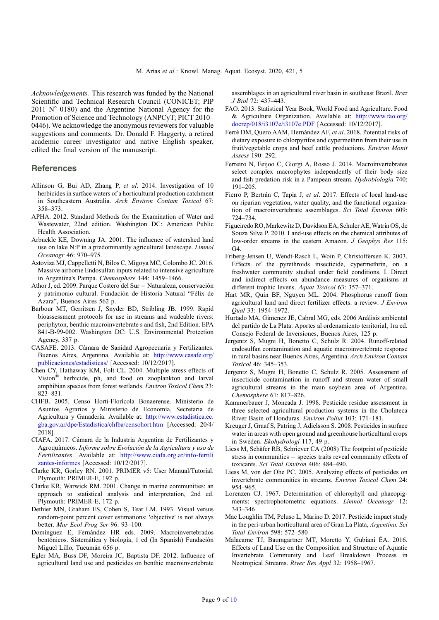<span id="page-8-0"></span>Acknowledgements. This research was funded by the National Scientific and Technical Research Council (CONICET; PIP 2011  $N^{\circ}$  0180) and the Argentine National Agency for the Promotion of Science and Technology (ANPCyT; PICT 2010– 0446). We acknowledge the anonymous reviewers for valuable suggestions and comments. Dr. Donald F. Haggerty, a retired academic career investigator and native English speaker, edited the final version of the manuscript.

# **References**

- Allinson G, Bui AD, Zhang P, et al. 2014. Investigation of 10 herbicides in surface waters of a horticultural production catchment in Southeastern Australia. Arch Environ Contam Toxicol 67: 358–373.
- APHA. 2012. Standard Methods for the Examination of Water and Wastewater, 22nd edition. Washington DC: American Public Health Association.
- Arbuckle KE, Downing JA. 2001. The influence of watershed land use on lake N:P in a predominantly agricultural landscape. *Limnol* Oceanogr 46: 970–975.
- Astoviza MJ, Cappelletti N, Bilos C, Migoya MC, Colombo JC. 2016. Massive airborne Endosulfan inputs related to intensive agriculture in Argentina's Pampa. Chemosphere 144: 1459–1466.
- Athor J, ed. 2009. Parque Costero del Sur Naturaleza, conservación y patrimonio cultural. Fundación de Historia Natural "Félix de Azara", Buenos Aires 562 p.
- Barbour MT, Gerritsen J, Snyder BD, Stribling JB. 1999. Rapid bioassessment protocols for use in streams and wadeable rivers: periphyton, benthic macroinvertebrate s and fish, 2nd Edition. EPA 841-B-99-002. Washington DC: U.S. Environmental Protection Agency, 337 p.
- CASAFE. 2013. Cámara de Sanidad Agropecuaria y Fertilizantes. Buenos Aires, Argentina. Available at: [http://www.casafe.org/](http://www.casafe.org/publicaciones/estadisticas/) [publicaciones/estadisticas/](http://www.casafe.org/publicaciones/estadisticas/) [Accessed: 10/12/2017].
- Chen CY, Hathaway KM, Folt CL. 2004. Multiple stress effects of Vision® herbicide, ph, and food on zooplankton and larval amphibian species from forest wetlands. Environ Toxicol Chem 23: 823–831.
- CHFB. 2005. Censo Horti-Florícola Bonaerense. Ministerio de Asuntos Agrarios y Ministerio de Economía, Secretaria de Agricultura y Ganadería. Available at: [http://www.estadistica.ec.](http://www.estadistica.ec.gba.gov.ar/dpe/Estadistica/chfba/censohort.htm) [gba.gov.ar/dpe/Estadistica/chfba/censohort.htm](http://www.estadistica.ec.gba.gov.ar/dpe/Estadistica/chfba/censohort.htm) [Accessed: 20/4/ 2018].
- CIAFA. 2017. Cámara de la Industria Argentina de Fertilizantes y Agroquímicos. Informe sobre Evolución de la Agricultura y uso de Fertilizantes. Available at: [http://www.ciafa.org.ar/info-fertili](http://www.ciafa.org.ar/info-fertilizantes-informes) [zantes-informes](http://www.ciafa.org.ar/info-fertilizantes-informes) [Accessed: 10/12/2017].
- Clarke KR, Gorley RN. 2001. PRIMER v5: User Manual/Tutorial. Plymouth: PRIMER-E, 192 p.
- Clarke KR, Warwick RM. 2001. Change in marine communities: an approach to statistical analysis and interpretation, 2nd ed. Plymouth: PRIMER-E, 172 p.
- Dethier MN, Graham ES, Cohen S, Tear LM. 1993. Visual versus random-point percent cover estimations: 'objective' is not always better. Mar Ecol Prog Ser 96: 93–100.
- Domínguez E, Fernández HR eds. 2009. Macroinvertebrados bentónicos. Sistemática y biología, 1 ed (In Spanish) Fundación Miguel Lillo, Tucumán 656 p.
- Egler MA, Buss DF, Moreira JC, Baptista DF. 2012. Influence of agricultural land use and pesticides on benthic macroinvertebrate

assemblages in an agricultural river basin in southeast Brazil. Braz J Biol 72: 437–443.

- FAO. 2013. Statistical Year Book, World Food and Agriculture. Food & Agriculture Organization. Available at: [http://www.fao.org/](http://www.fao.org/docrep/018/i3107e/i3107e.PDF) [docrep/018/i3107e/i3107e.PDF](http://www.fao.org/docrep/018/i3107e/i3107e.PDF) [Accessed: 10/12/2017].
- Ferré DM, Quero AAM, Hernández AF, et al. 2018. Potential risks of dietary exposure to chlorpyrifos and cypermethrin from their use in fruit/vegetable crops and beef cattle productions. Environ Monit Assess 190: 292.
- Ferreiro N, Feijoo C, Giorgi A, Rosso J. 2014. Macroinvertebrates select complex macrophytes independently of their body size and fish predation risk in a Pampean stream. Hydrobiologia 740: 191–205.
- Fierro P, Bertrán C, Tapia J, et al. 2017. Effects of local land-use on riparian vegetation, water quality, and the functional organization of macroinvertebrate assemblages. Sci Total Environ 609: 724–734.
- Figueiredo RO,Markewitz D, Davidson EA, Schuler AE,Watrin OS, de Souza Silva P. 2010. Land-use effects on the chemical attributes of low-order streams in the eastern Amazon. J Geophys Res 115:  $G4$
- Friberg-Jensen U, Wendt-Rasch L, Woin P, Christoffersen K. 2003. Effects of the pyrethroids insecticide, cypermethrin, on a freshwater community studied under field conditions. I. Direct and indirect effects on abundance measures of organisms at different trophic levens. Aquat Toxicol 63: 357-371.
- Hart MR, Quin BF, Nguyen ML. 2004. Phosphorus runoff from agricultural land and direct fertilizer effects: a review. J Environ Qual 33: 1954–1972.
- Hurtado MA, Gimenez JE, Cabral MG, eds. 2006 Análisis ambiental del partido de La Plata: Aportes al ordenamiento territorial, 1ra ed. Consejo Federal de Inversiones, Buenos Aires, 125 p.
- Jergentz S, Mugni H, Bonetto C, Schulz R. 2004. Runoff-related endosulfan contamination and aquatic macroinvertebrate response in rural basins near Buenos Aires, Argentina. Arch Environ Contam Toxicol 46: 345–353.
- Jergentz S, Mugni H, Bonetto C, Schulz R. 2005. Assessment of insecticide contamination in runoff and stream water of small agricultural streams in the main soybean area of Argentina. Chemosphere 61: 817–826.
- Kammerbauer J, Moncada J. 1998. Pesticide residue assessment in three selected agricultural production systems in the Choluteca River Basin of Honduras. Environ Pollut 103: 171–181.
- Kreuger J, Graaf S, Patring J, Adielsson S. 2008. Pesticides in surface water in areas with open ground and greenhouse horticultural crops in Sweden. Ekohydrologi 117, 49 p.
- Liess M, Schäfer RB, Schriever CA (2008) The footprint of pesticide stress in communities  $-$  species traits reveal community effects of toxicants. Sci Total Environ 406: 484–490.
- Liess M, von der Ohe PC. 2005. Analyzing effects of pesticides on invertebrate communities in streams. Environ Toxicol Chem 24: 954–965.
- Lorenzen CJ. 1967. Determination of chlorophyll and phaeopigments: spectrophotometric equations. Limnol Oceanogr 12: 343–346
- Mac Loughlin TM, Peluso L, Marino D. 2017. Pesticide impact study in the peri-urban horticultural area of Gran La Plata, Argentina. Sci Total Environ 598: 572–580
- Malacarne TJ, Baumgartner MT, Moretto Y, Gubiani ÉA. 2016. Effects of Land Use on the Composition and Structure of Aquatic Invertebrate Community and Leaf Breakdown Process in Neotropical Streams. River Res Appl 32: 1958–1967.